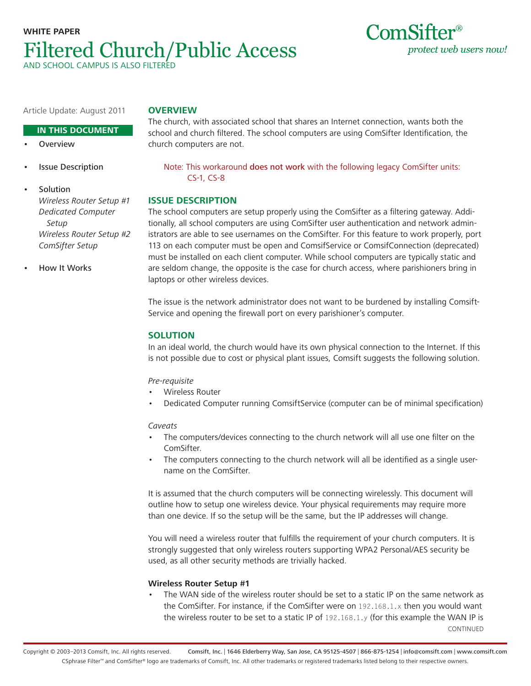# **WHITE PAPER** Filtered Church/Public Access AND SCHOOL CAMPUS IS ALSO FILT



Article Update: August 2011

# **Overview**

#### **IN THIS DOCUMENT**

- **Overview**
- **Issue Description**

Note: This workaround does not work with the following legacy ComSifter units: CS-1, CS-8

The church, with associated school that shares an Internet connection, wants both the school and church filtered. The school computers are using ComSifter Identification, the

## **Issue Description**

church computers are not.

The school computers are setup properly using the ComSifter as a filtering gateway. Additionally, all school computers are using ComSifter user authentication and network administrators are able to see usernames on the ComSifter. For this feature to work properly, port 113 on each computer must be open and ComsifService or ComsifConnection (deprecated) must be installed on each client computer. While school computers are typically static and are seldom change, the opposite is the case for church access, where parishioners bring in laptops or other wireless devices.

The issue is the network administrator does not want to be burdened by installing Comsift-Service and opening the firewall port on every parishioner's computer.

# **Solution**

In an ideal world, the church would have its own physical connection to the Internet. If this is not possible due to cost or physical plant issues, Comsift suggests the following solution.

#### Pre-requisite

- Wireless Router
- Dedicated Computer running ComsiftService (computer can be of minimal specification)

#### Caveats

- The computers/devices connecting to the church network will all use one filter on the ComSifter.
- The computers connecting to the church network will all be identified as a single username on the ComSifter.

It is assumed that the church computers will be connecting wirelessly. This document will outline how to setup one wireless device. Your physical requirements may require more than one device. If so the setup will be the same, but the IP addresses will change.

You will need a wireless router that fulfills the requirement of your church computers. It is strongly suggested that only wireless routers supporting WPA2 Personal/AES security be used, as all other security methods are trivially hacked.

## **Wireless Router Setup #1**

The WAN side of the wireless router should be set to a static IP on the same network as the ComSifter. For instance, if the ComSifter were on 192.168.1.x then you would want the wireless router to be set to a static IP of 192.168.1.y (for this example the WAN IP is CONTINUED

**Solution** Wireless Router Setup #1 Dedicated Computer Setup Wireless Router Setup #2 ComSifter Setup

• How It Works